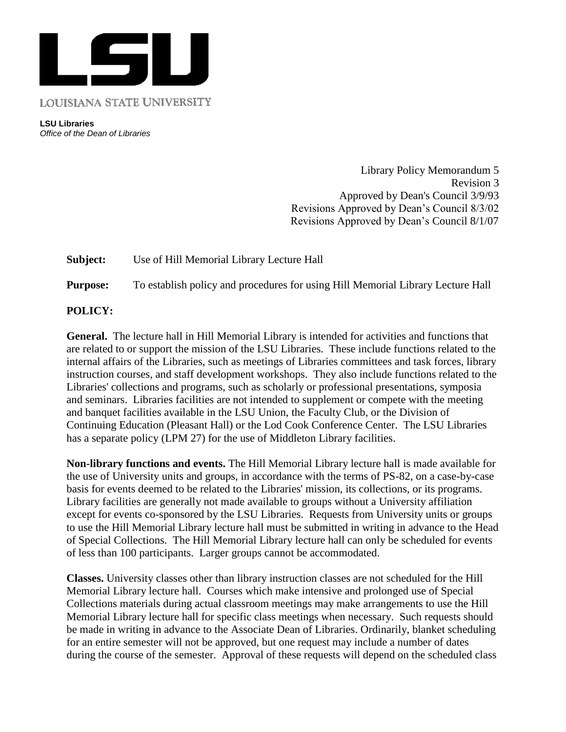

**LSU Libraries** *Office of the Dean of Libraries*

> Library Policy Memorandum 5 Revision 3 Approved by Dean's Council 3/9/93 Revisions Approved by Dean's Council 8/3/02 Revisions Approved by Dean's Council 8/1/07

**Subject:** Use of Hill Memorial Library Lecture Hall

**Purpose:** To establish policy and procedures for using Hill Memorial Library Lecture Hall

## **POLICY:**

**General.** The lecture hall in Hill Memorial Library is intended for activities and functions that are related to or support the mission of the LSU Libraries. These include functions related to the internal affairs of the Libraries, such as meetings of Libraries committees and task forces, library instruction courses, and staff development workshops. They also include functions related to the Libraries' collections and programs, such as scholarly or professional presentations, symposia and seminars. Libraries facilities are not intended to supplement or compete with the meeting and banquet facilities available in the LSU Union, the Faculty Club, or the Division of Continuing Education (Pleasant Hall) or the Lod Cook Conference Center. The LSU Libraries has a separate policy (LPM 27) for the use of Middleton Library facilities.

**Non-library functions and events.** The Hill Memorial Library lecture hall is made available for the use of University units and groups, in accordance with the terms of PS-82, on a case-by-case basis for events deemed to be related to the Libraries' mission, its collections, or its programs. Library facilities are generally not made available to groups without a University affiliation except for events co-sponsored by the LSU Libraries. Requests from University units or groups to use the Hill Memorial Library lecture hall must be submitted in writing in advance to the Head of Special Collections. The Hill Memorial Library lecture hall can only be scheduled for events of less than 100 participants. Larger groups cannot be accommodated.

**Classes.** University classes other than library instruction classes are not scheduled for the Hill Memorial Library lecture hall. Courses which make intensive and prolonged use of Special Collections materials during actual classroom meetings may make arrangements to use the Hill Memorial Library lecture hall for specific class meetings when necessary. Such requests should be made in writing in advance to the Associate Dean of Libraries. Ordinarily, blanket scheduling for an entire semester will not be approved, but one request may include a number of dates during the course of the semester. Approval of these requests will depend on the scheduled class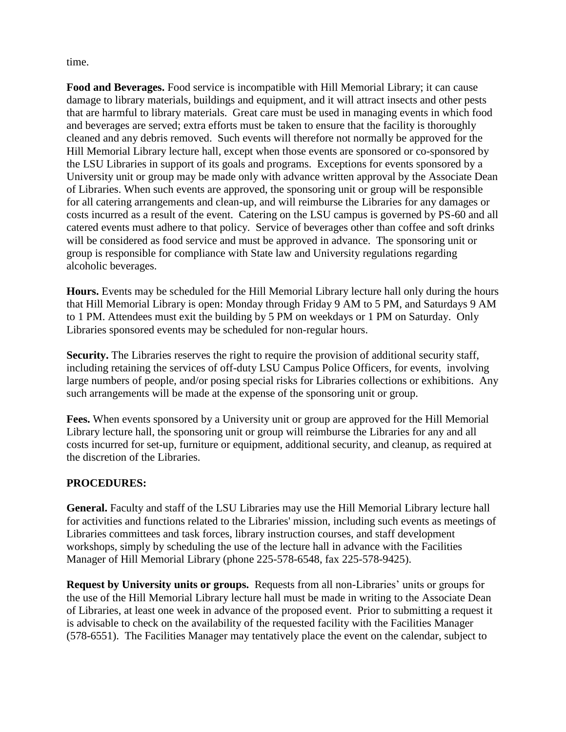time.

**Food and Beverages.** Food service is incompatible with Hill Memorial Library; it can cause damage to library materials, buildings and equipment, and it will attract insects and other pests that are harmful to library materials. Great care must be used in managing events in which food and beverages are served; extra efforts must be taken to ensure that the facility is thoroughly cleaned and any debris removed. Such events will therefore not normally be approved for the Hill Memorial Library lecture hall, except when those events are sponsored or co-sponsored by the LSU Libraries in support of its goals and programs. Exceptions for events sponsored by a University unit or group may be made only with advance written approval by the Associate Dean of Libraries. When such events are approved, the sponsoring unit or group will be responsible for all catering arrangements and clean-up, and will reimburse the Libraries for any damages or costs incurred as a result of the event. Catering on the LSU campus is governed by PS-60 and all catered events must adhere to that policy. Service of beverages other than coffee and soft drinks will be considered as food service and must be approved in advance. The sponsoring unit or group is responsible for compliance with State law and University regulations regarding alcoholic beverages.

**Hours.** Events may be scheduled for the Hill Memorial Library lecture hall only during the hours that Hill Memorial Library is open: Monday through Friday 9 AM to 5 PM, and Saturdays 9 AM to 1 PM. Attendees must exit the building by 5 PM on weekdays or 1 PM on Saturday. Only Libraries sponsored events may be scheduled for non-regular hours.

**Security.** The Libraries reserves the right to require the provision of additional security staff, including retaining the services of off-duty LSU Campus Police Officers, for events, involving large numbers of people, and/or posing special risks for Libraries collections or exhibitions. Any such arrangements will be made at the expense of the sponsoring unit or group.

**Fees.** When events sponsored by a University unit or group are approved for the Hill Memorial Library lecture hall, the sponsoring unit or group will reimburse the Libraries for any and all costs incurred for set-up, furniture or equipment, additional security, and cleanup, as required at the discretion of the Libraries.

## **PROCEDURES:**

**General.** Faculty and staff of the LSU Libraries may use the Hill Memorial Library lecture hall for activities and functions related to the Libraries' mission, including such events as meetings of Libraries committees and task forces, library instruction courses, and staff development workshops, simply by scheduling the use of the lecture hall in advance with the Facilities Manager of Hill Memorial Library (phone 225-578-6548, fax 225-578-9425).

**Request by University units or groups.** Requests from all non-Libraries' units or groups for the use of the Hill Memorial Library lecture hall must be made in writing to the Associate Dean of Libraries, at least one week in advance of the proposed event. Prior to submitting a request it is advisable to check on the availability of the requested facility with the Facilities Manager (578-6551). The Facilities Manager may tentatively place the event on the calendar, subject to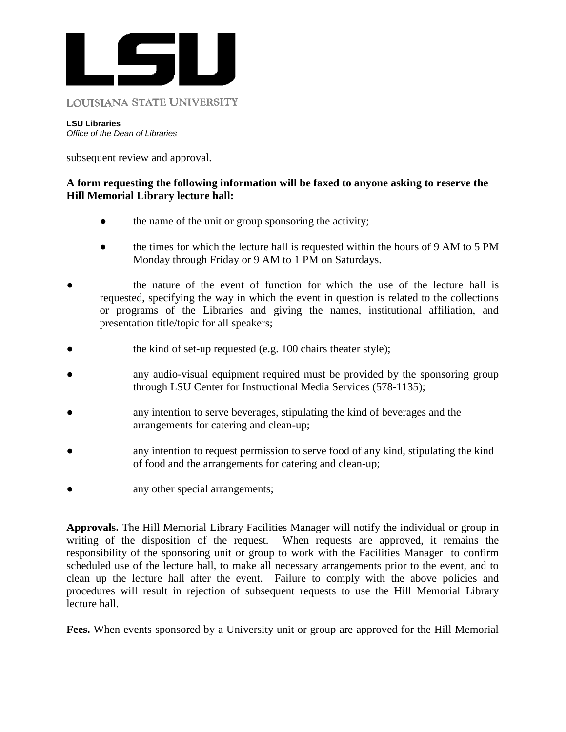

## **LOUISIANA STATE UNIVERSITY**

**LSU Libraries** *Office of the Dean of Libraries*

subsequent review and approval.

## **A form requesting the following information will be faxed to anyone asking to reserve the Hill Memorial Library lecture hall:**

- the name of the unit or group sponsoring the activity;
- the times for which the lecture hall is requested within the hours of 9 AM to 5 PM Monday through Friday or 9 AM to 1 PM on Saturdays.
- the nature of the event of function for which the use of the lecture hall is requested, specifying the way in which the event in question is related to the collections or programs of the Libraries and giving the names, institutional affiliation, and presentation title/topic for all speakers;
- the kind of set-up requested (e.g. 100 chairs theater style);
- any audio-visual equipment required must be provided by the sponsoring group through LSU Center for Instructional Media Services (578-1135);
- any intention to serve beverages, stipulating the kind of beverages and the arrangements for catering and clean-up;
- any intention to request permission to serve food of any kind, stipulating the kind of food and the arrangements for catering and clean-up;
- any other special arrangements;

**Approvals.** The Hill Memorial Library Facilities Manager will notify the individual or group in writing of the disposition of the request. When requests are approved, it remains the responsibility of the sponsoring unit or group to work with the Facilities Manager to confirm scheduled use of the lecture hall, to make all necessary arrangements prior to the event, and to clean up the lecture hall after the event. Failure to comply with the above policies and procedures will result in rejection of subsequent requests to use the Hill Memorial Library lecture hall.

**Fees.** When events sponsored by a University unit or group are approved for the Hill Memorial